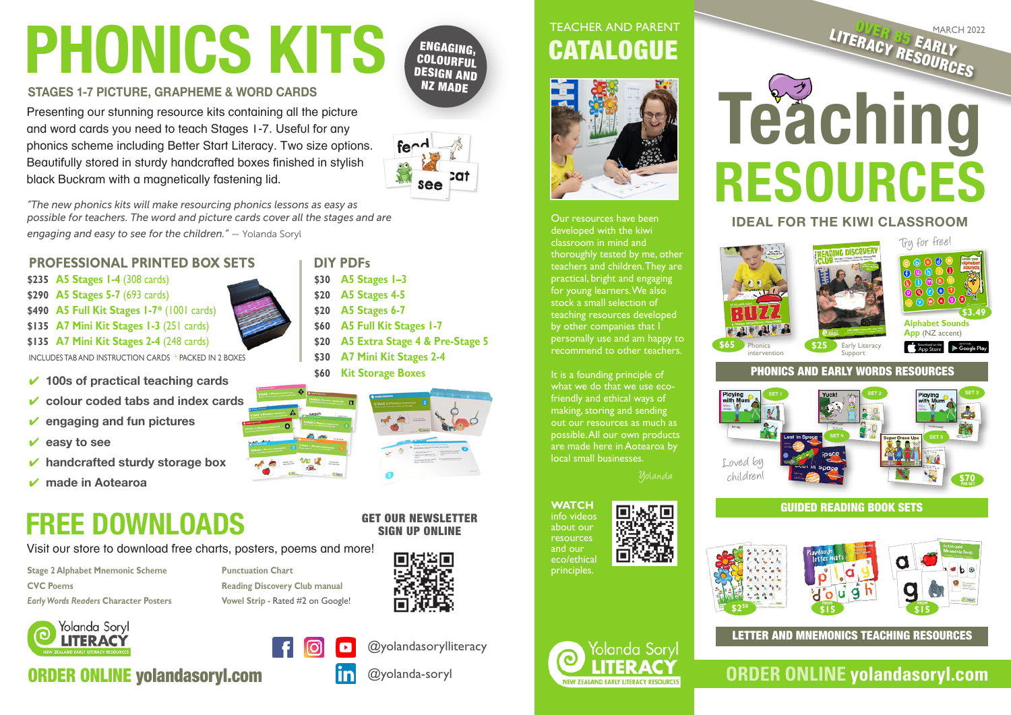# **Phonics kits**

ENGAGING, **COLOURFUL** DESIGN AND NZ MADE

#### **STAGES 1-7 PICTURE, GRAPHEME & WORD CARDS**

Presenting our stunning resource kits containing all the picture and word cards you need to teach Stages 1-7. Useful for any phonics scheme including Better Start Literacy. Two size options. Beautifully stored in sturdy handcrafted boxes finished in stylish black Buckram with a magnetically fastening lid.

*"The new phonics kits will make resourcing phonics lessons as easy as possible for teachers. The word and picture cards cover all the stages and are engaging and easy to see for the children."* — Yolanda Soryl

#### **PROFESSIONAL PRINTED box SETS**

**A5 Stages 1-4** (308 cards) **\$235 A5 Stages 5-7** (693 cards) **\$290 A5 Full Kit Stages 1-7\*** (1001 cards) **\$490 A7 Mini Kit Stages 1-3** (251 cards) **\$135 A7 Mini Kit Stages 2-4** (248 cards) **\$135**

INCLUDES TAB AND INSTRUCTION CARDS \* Packed in 2 boxes

- 4 **100s of practical teaching cards**
- 4 **colour coded tabs and index cards**
- 4 **engaging and fun pictures**
- 4 **easy to see**
- 4 **handcrafted sturdy storage box**
- 4 **made in Aotearoa**

# **Free DOWnLoads**

**ORDER ONLINE yolandasoryl.com** 

Visit our store to download free charts, posters, poems and more!

**Stage 2 Alphabet Mnemonic Scheme CVC Poems** *Early Words Readers* **Character Posters** 

> Yolanda Soryl **LITERACY**

**Punctuation Chart Reading Discovery Club manual Vowel Strip -** Rated #2 on Google!

ಉ ಟಿ



## **CATALOGUE** teacher and parent



Our resources have been developed with the kiwi classroom in mind and thoroughly tested by me, other teachers and children. They are practical, bright and engaging for young learners. We also stock a small selection of teaching resources developed by other companies that I personally use and am happy to recommend to other teachers.

It is a founding principle of what we do that we use ecofriendly and ethical ways of making, storing and sending out our resources as much as possible. All our own products are made here in Aotearoa by local small businesses.

**\$65**





# **LITERACY RESOURCES Teaching**

# **resources**

#### **IDEAL for the kiwi classroom**





#### phonicS and early wordS resources



#### Guided reading book SETS



LETTER AND MNEMONICS TEACHING RESOURCES

## **ORDER ONLINE yolandasoryl.com**



**DIY PDFs**

**A5 Stages 1–3 \$30 A5 Stages 4-5 \$20 A5 Stages 6-7 \$20 A5 Full Kit Stages 1-7 \$60**



**A5 Extra Stage 4 & Pre-Stage 5 \$20**

fe $\sim$ 

**A7 Mini Kit Stages 2-4 \$30 Kit Storage Boxes \$60**

#### GET our newsletter Sign up online





@yolandasorylliteracy

#### @yolanda-soryl